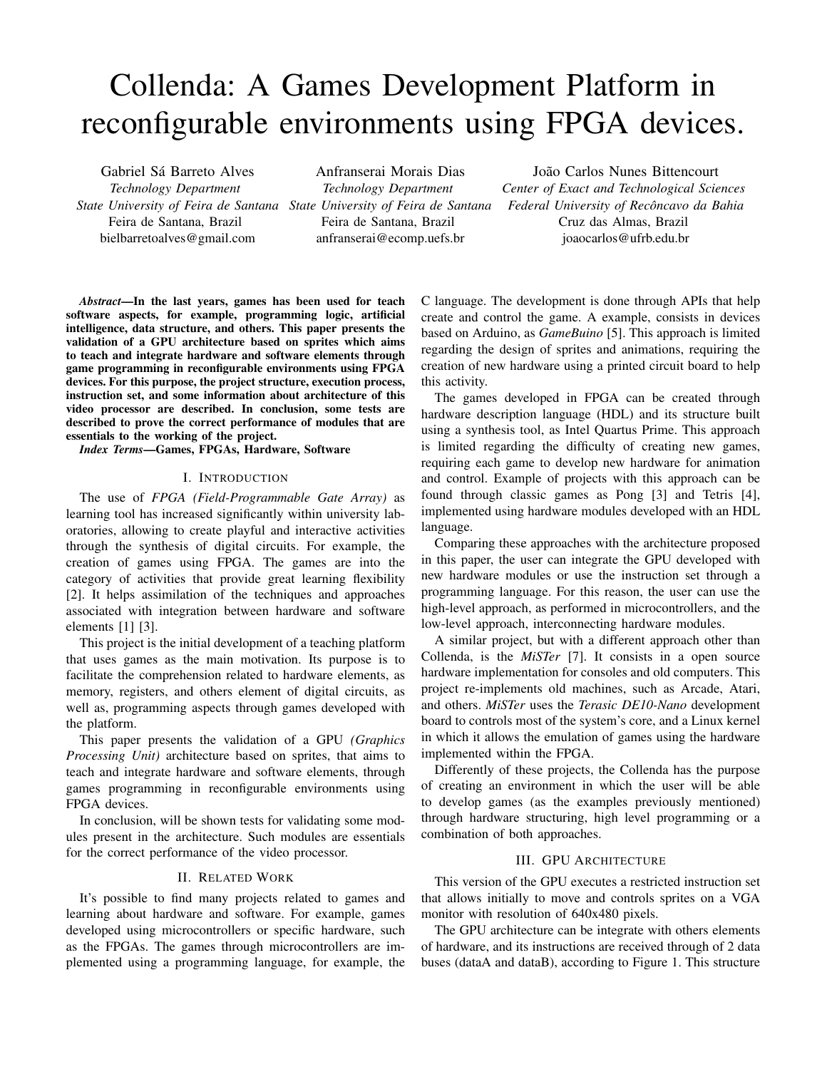# Collenda: A Games Development Platform in reconfigurable environments using FPGA devices.

Gabriel Sá Barreto Alves *Technology Department State University of Feira de Santana State University of Feira de Santana* Feira de Santana, Brazil bielbarretoalves@gmail.com

Anfranserai Morais Dias *Technology Department* Feira de Santana, Brazil anfranserai@ecomp.uefs.br

João Carlos Nunes Bittencourt *Center of Exact and Technological Sciences Federal University of Reconcavo da Bahia ˆ* Cruz das Almas, Brazil joaocarlos@ufrb.edu.br

*Abstract*—In the last years, games has been used for teach software aspects, for example, programming logic, artificial intelligence, data structure, and others. This paper presents the validation of a GPU architecture based on sprites which aims to teach and integrate hardware and software elements through game programming in reconfigurable environments using FPGA devices. For this purpose, the project structure, execution process, instruction set, and some information about architecture of this video processor are described. In conclusion, some tests are described to prove the correct performance of modules that are essentials to the working of the project.

*Index Terms*—Games, FPGAs, Hardware, Software

## I. INTRODUCTION

The use of *FPGA (Field-Programmable Gate Array)* as learning tool has increased significantly within university laboratories, allowing to create playful and interactive activities through the synthesis of digital circuits. For example, the creation of games using FPGA. The games are into the category of activities that provide great learning flexibility [2]. It helps assimilation of the techniques and approaches associated with integration between hardware and software elements [1] [3].

This project is the initial development of a teaching platform that uses games as the main motivation. Its purpose is to facilitate the comprehension related to hardware elements, as memory, registers, and others element of digital circuits, as well as, programming aspects through games developed with the platform.

This paper presents the validation of a GPU *(Graphics Processing Unit)* architecture based on sprites, that aims to teach and integrate hardware and software elements, through games programming in reconfigurable environments using FPGA devices.

In conclusion, will be shown tests for validating some modules present in the architecture. Such modules are essentials for the correct performance of the video processor.

## II. RELATED WORK

It's possible to find many projects related to games and learning about hardware and software. For example, games developed using microcontrollers or specific hardware, such as the FPGAs. The games through microcontrollers are implemented using a programming language, for example, the

C language. The development is done through APIs that help create and control the game. A example, consists in devices based on Arduino, as *GameBuino* [5]. This approach is limited regarding the design of sprites and animations, requiring the creation of new hardware using a printed circuit board to help this activity.

The games developed in FPGA can be created through hardware description language (HDL) and its structure built using a synthesis tool, as Intel Quartus Prime. This approach is limited regarding the difficulty of creating new games, requiring each game to develop new hardware for animation and control. Example of projects with this approach can be found through classic games as Pong [3] and Tetris [4], implemented using hardware modules developed with an HDL language.

Comparing these approaches with the architecture proposed in this paper, the user can integrate the GPU developed with new hardware modules or use the instruction set through a programming language. For this reason, the user can use the high-level approach, as performed in microcontrollers, and the low-level approach, interconnecting hardware modules.

A similar project, but with a different approach other than Collenda, is the *MiSTer* [7]. It consists in a open source hardware implementation for consoles and old computers. This project re-implements old machines, such as Arcade, Atari, and others. *MiSTer* uses the *Terasic DE10-Nano* development board to controls most of the system's core, and a Linux kernel in which it allows the emulation of games using the hardware implemented within the FPGA.

Differently of these projects, the Collenda has the purpose of creating an environment in which the user will be able to develop games (as the examples previously mentioned) through hardware structuring, high level programming or a combination of both approaches.

# III. GPU ARCHITECTURE

This version of the GPU executes a restricted instruction set that allows initially to move and controls sprites on a VGA monitor with resolution of 640x480 pixels.

The GPU architecture can be integrate with others elements of hardware, and its instructions are received through of 2 data buses (dataA and dataB), according to Figure 1. This structure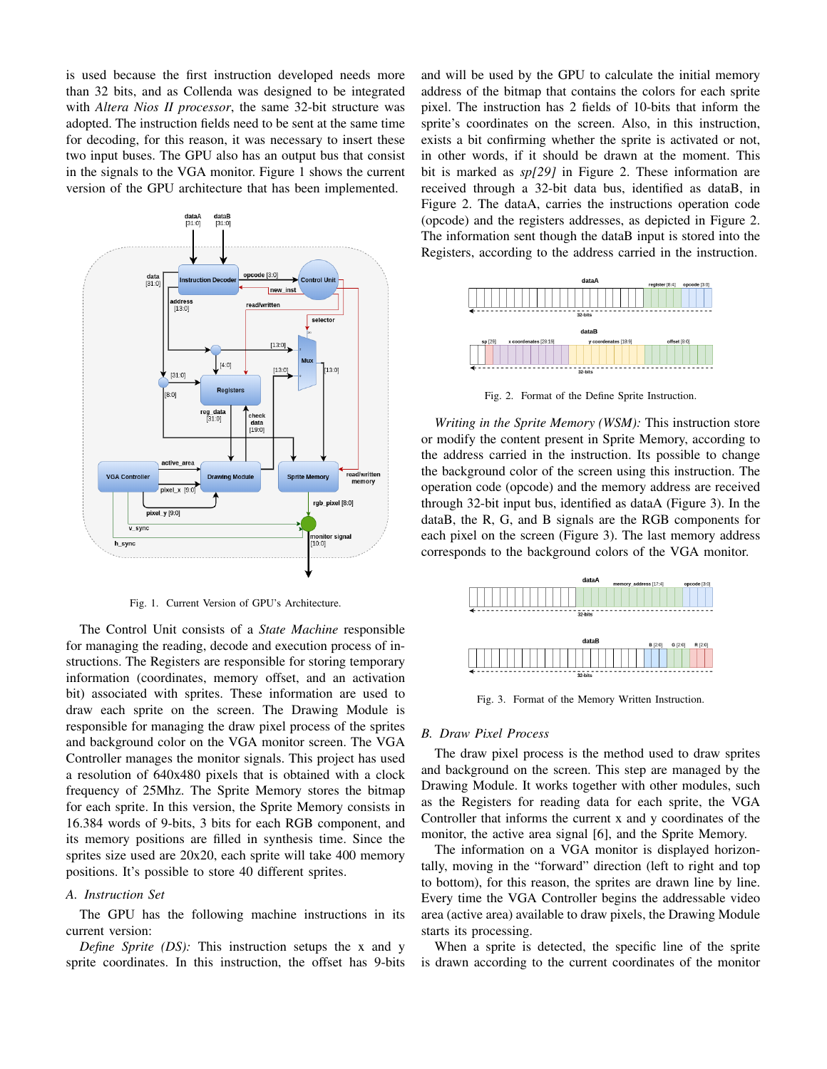is used because the first instruction developed needs more than 32 bits, and as Collenda was designed to be integrated with *Altera Nios II processor*, the same 32-bit structure was adopted. The instruction fields need to be sent at the same time for decoding, for this reason, it was necessary to insert these two input buses. The GPU also has an output bus that consist in the signals to the VGA monitor. Figure 1 shows the current version of the GPU architecture that has been implemented.



Fig. 1. Current Version of GPU's Architecture.

The Control Unit consists of a *State Machine* responsible for managing the reading, decode and execution process of instructions. The Registers are responsible for storing temporary information (coordinates, memory offset, and an activation bit) associated with sprites. These information are used to draw each sprite on the screen. The Drawing Module is responsible for managing the draw pixel process of the sprites and background color on the VGA monitor screen. The VGA Controller manages the monitor signals. This project has used a resolution of 640x480 pixels that is obtained with a clock frequency of 25Mhz. The Sprite Memory stores the bitmap for each sprite. In this version, the Sprite Memory consists in 16.384 words of 9-bits, 3 bits for each RGB component, and its memory positions are filled in synthesis time. Since the sprites size used are 20x20, each sprite will take 400 memory positions. It's possible to store 40 different sprites.

# *A. Instruction Set*

The GPU has the following machine instructions in its current version:

*Define Sprite (DS):* This instruction setups the x and y sprite coordinates. In this instruction, the offset has 9-bits and will be used by the GPU to calculate the initial memory address of the bitmap that contains the colors for each sprite pixel. The instruction has 2 fields of 10-bits that inform the sprite's coordinates on the screen. Also, in this instruction, exists a bit confirming whether the sprite is activated or not, in other words, if it should be drawn at the moment. This bit is marked as *sp[29]* in Figure 2. These information are received through a 32-bit data bus, identified as dataB, in Figure 2. The dataA, carries the instructions operation code (opcode) and the registers addresses, as depicted in Figure 2. The information sent though the dataB input is stored into the Registers, according to the address carried in the instruction.



Fig. 2. Format of the Define Sprite Instruction.

*Writing in the Sprite Memory (WSM):* This instruction store or modify the content present in Sprite Memory, according to the address carried in the instruction. Its possible to change the background color of the screen using this instruction. The operation code (opcode) and the memory address are received through 32-bit input bus, identified as dataA (Figure 3). In the dataB, the R, G, and B signals are the RGB components for each pixel on the screen (Figure 3). The last memory address corresponds to the background colors of the VGA monitor.



Fig. 3. Format of the Memory Written Instruction.

#### *B. Draw Pixel Process*

The draw pixel process is the method used to draw sprites and background on the screen. This step are managed by the Drawing Module. It works together with other modules, such as the Registers for reading data for each sprite, the VGA Controller that informs the current x and y coordinates of the monitor, the active area signal [6], and the Sprite Memory.

The information on a VGA monitor is displayed horizontally, moving in the "forward" direction (left to right and top to bottom), for this reason, the sprites are drawn line by line. Every time the VGA Controller begins the addressable video area (active area) available to draw pixels, the Drawing Module starts its processing.

When a sprite is detected, the specific line of the sprite is drawn according to the current coordinates of the monitor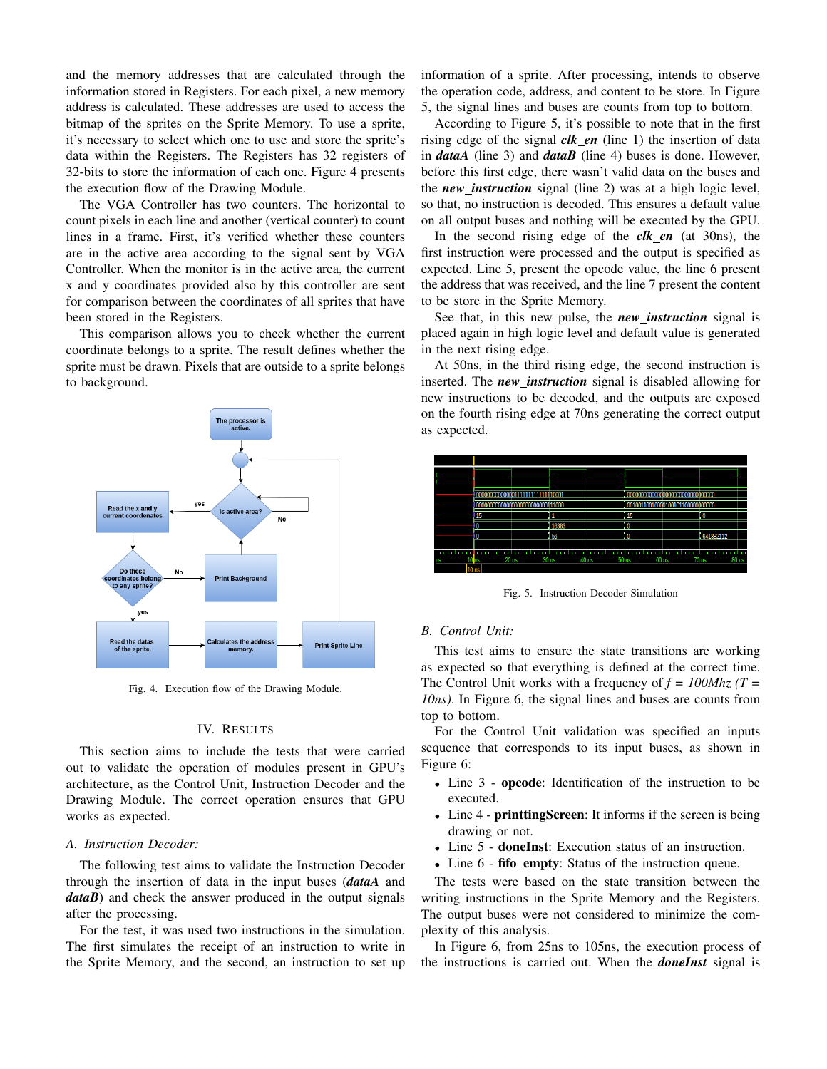and the memory addresses that are calculated through the information stored in Registers. For each pixel, a new memory address is calculated. These addresses are used to access the bitmap of the sprites on the Sprite Memory. To use a sprite, it's necessary to select which one to use and store the sprite's data within the Registers. The Registers has 32 registers of 32-bits to store the information of each one. Figure 4 presents the execution flow of the Drawing Module.

The VGA Controller has two counters. The horizontal to count pixels in each line and another (vertical counter) to count lines in a frame. First, it's verified whether these counters are in the active area according to the signal sent by VGA Controller. When the monitor is in the active area, the current x and y coordinates provided also by this controller are sent for comparison between the coordinates of all sprites that have been stored in the Registers.

This comparison allows you to check whether the current coordinate belongs to a sprite. The result defines whether the sprite must be drawn. Pixels that are outside to a sprite belongs to background.



Fig. 4. Execution flow of the Drawing Module.

#### IV. RESULTS

This section aims to include the tests that were carried out to validate the operation of modules present in GPU's architecture, as the Control Unit, Instruction Decoder and the Drawing Module. The correct operation ensures that GPU works as expected.

## *A. Instruction Decoder:*

The following test aims to validate the Instruction Decoder through the insertion of data in the input buses (*dataA* and *dataB*) and check the answer produced in the output signals after the processing.

For the test, it was used two instructions in the simulation. The first simulates the receipt of an instruction to write in the Sprite Memory, and the second, an instruction to set up information of a sprite. After processing, intends to observe the operation code, address, and content to be store. In Figure 5, the signal lines and buses are counts from top to bottom.

According to Figure 5, it's possible to note that in the first rising edge of the signal *clk en* (line 1) the insertion of data in *dataA* (line 3) and *dataB* (line 4) buses is done. However, before this first edge, there wasn't valid data on the buses and the *new instruction* signal (line 2) was at a high logic level, so that, no instruction is decoded. This ensures a default value on all output buses and nothing will be executed by the GPU.

In the second rising edge of the *clk en* (at 30ns), the first instruction were processed and the output is specified as expected. Line 5, present the opcode value, the line 6 present the address that was received, and the line 7 present the content to be store in the Sprite Memory.

See that, in this new pulse, the *new instruction* signal is placed again in high logic level and default value is generated in the next rising edge.

At 50ns, in the third rising edge, the second instruction is inserted. The *new instruction* signal is disabled allowing for new instructions to be decoded, and the outputs are exposed on the fourth rising edge at 70ns generating the correct output as expected.



Fig. 5. Instruction Decoder Simulation

#### *B. Control Unit:*

This test aims to ensure the state transitions are working as expected so that everything is defined at the correct time. The Control Unit works with a frequency of *f = 100Mhz (T = 10ns)*. In Figure 6, the signal lines and buses are counts from top to bottom.

For the Control Unit validation was specified an inputs sequence that corresponds to its input buses, as shown in Figure 6:

- Line 3 opcode: Identification of the instruction to be executed.
- Line 4 **printtingScreen**: It informs if the screen is being drawing or not.
- Line 5 **doneInst**: Execution status of an instruction.
- Line 6 fifo empty: Status of the instruction queue.

The tests were based on the state transition between the writing instructions in the Sprite Memory and the Registers. The output buses were not considered to minimize the complexity of this analysis.

In Figure 6, from 25ns to 105ns, the execution process of the instructions is carried out. When the *doneInst* signal is